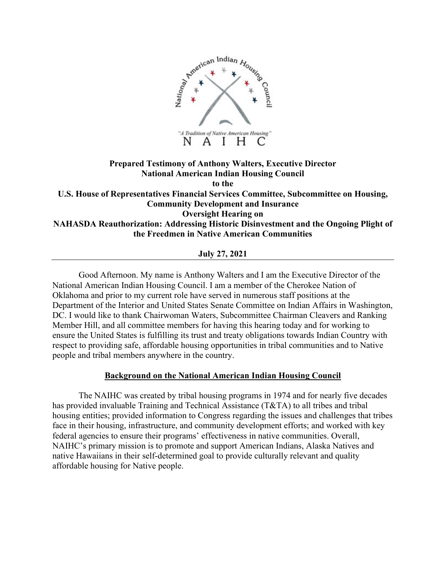

## **Prepared Testimony of Anthony Walters, Executive Director National American Indian Housing Council to the U.S. House of Representatives Financial Services Committee, Subcommittee on Housing, Community Development and Insurance Oversight Hearing on NAHASDA Reauthorization: Addressing Historic Disinvestment and the Ongoing Plight of the Freedmen in Native American Communities**

## **July 27, 2021**

Good Afternoon. My name is Anthony Walters and I am the Executive Director of the National American Indian Housing Council. I am a member of the Cherokee Nation of Oklahoma and prior to my current role have served in numerous staff positions at the Department of the Interior and United States Senate Committee on Indian Affairs in Washington, DC. I would like to thank Chairwoman Waters, Subcommittee Chairman Cleavers and Ranking Member Hill, and all committee members for having this hearing today and for working to ensure the United States is fulfilling its trust and treaty obligations towards Indian Country with respect to providing safe, affordable housing opportunities in tribal communities and to Native people and tribal members anywhere in the country.

### **Background on the National American Indian Housing Council**

The NAIHC was created by tribal housing programs in 1974 and for nearly five decades has provided invaluable Training and Technical Assistance (T&TA) to all tribes and tribal housing entities; provided information to Congress regarding the issues and challenges that tribes face in their housing, infrastructure, and community development efforts; and worked with key federal agencies to ensure their programs' effectiveness in native communities. Overall, NAIHC's primary mission is to promote and support American Indians, Alaska Natives and native Hawaiians in their self-determined goal to provide culturally relevant and quality affordable housing for Native people.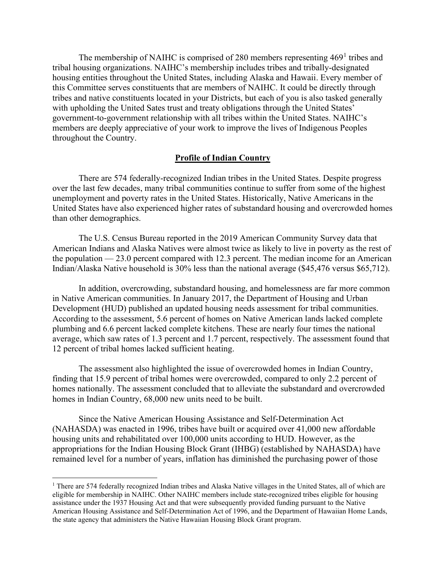The membership of NAIHC is comprised of 280 members representing  $469<sup>1</sup>$  $469<sup>1</sup>$  $469<sup>1</sup>$  tribes and tribal housing organizations. NAIHC's membership includes tribes and tribally-designated housing entities throughout the United States, including Alaska and Hawaii. Every member of this Committee serves constituents that are members of NAIHC. It could be directly through tribes and native constituents located in your Districts, but each of you is also tasked generally with upholding the United Sates trust and treaty obligations through the United States' government-to-government relationship with all tribes within the United States. NAIHC's members are deeply appreciative of your work to improve the lives of Indigenous Peoples throughout the Country.

### **Profile of Indian Country**

There are 574 federally-recognized Indian tribes in the United States. Despite progress over the last few decades, many tribal communities continue to suffer from some of the highest unemployment and poverty rates in the United States. Historically, Native Americans in the United States have also experienced higher rates of substandard housing and overcrowded homes than other demographics.

The U.S. Census Bureau reported in the 2019 American Community Survey data that American Indians and Alaska Natives were almost twice as likely to live in poverty as the rest of the population — 23.0 percent compared with 12.3 percent. The median income for an American Indian/Alaska Native household is 30% less than the national average (\$45,476 versus \$65,712).

In addition, overcrowding, substandard housing, and homelessness are far more common in Native American communities. In January 2017, the Department of Housing and Urban Development (HUD) published an updated housing needs assessment for tribal communities. According to the assessment, 5.6 percent of homes on Native American lands lacked complete plumbing and 6.6 percent lacked complete kitchens. These are nearly four times the national average, which saw rates of 1.3 percent and 1.7 percent, respectively. The assessment found that 12 percent of tribal homes lacked sufficient heating.

The assessment also highlighted the issue of overcrowded homes in Indian Country, finding that 15.9 percent of tribal homes were overcrowded, compared to only 2.2 percent of homes nationally. The assessment concluded that to alleviate the substandard and overcrowded homes in Indian Country, 68,000 new units need to be built.

Since the Native American Housing Assistance and Self-Determination Act (NAHASDA) was enacted in 1996, tribes have built or acquired over 41,000 new affordable housing units and rehabilitated over 100,000 units according to HUD. However, as the appropriations for the Indian Housing Block Grant (IHBG) (established by NAHASDA) have remained level for a number of years, inflation has diminished the purchasing power of those

<span id="page-1-0"></span><sup>&</sup>lt;sup>1</sup> There are 574 federally recognized Indian tribes and Alaska Native villages in the United States, all of which are eligible for membership in NAIHC. Other NAIHC members include state-recognized tribes eligible for housing assistance under the 1937 Housing Act and that were subsequently provided funding pursuant to the Native American Housing Assistance and Self-Determination Act of 1996, and the Department of Hawaiian Home Lands, the state agency that administers the Native Hawaiian Housing Block Grant program.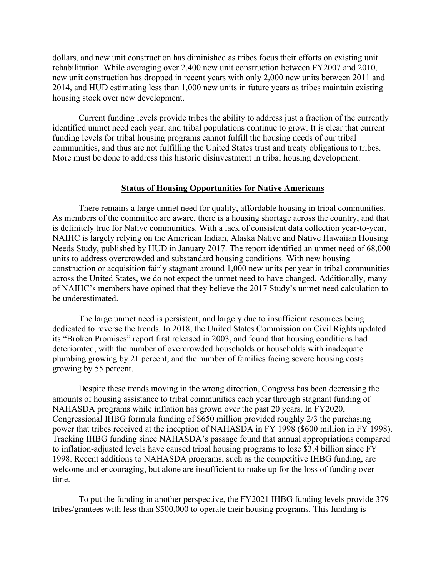dollars, and new unit construction has diminished as tribes focus their efforts on existing unit rehabilitation. While averaging over 2,400 new unit construction between FY2007 and 2010, new unit construction has dropped in recent years with only 2,000 new units between 2011 and 2014, and HUD estimating less than 1,000 new units in future years as tribes maintain existing housing stock over new development.

Current funding levels provide tribes the ability to address just a fraction of the currently identified unmet need each year, and tribal populations continue to grow. It is clear that current funding levels for tribal housing programs cannot fulfill the housing needs of our tribal communities, and thus are not fulfilling the United States trust and treaty obligations to tribes. More must be done to address this historic disinvestment in tribal housing development.

### **Status of Housing Opportunities for Native Americans**

There remains a large unmet need for quality, affordable housing in tribal communities. As members of the committee are aware, there is a housing shortage across the country, and that is definitely true for Native communities. With a lack of consistent data collection year-to-year, NAIHC is largely relying on the American Indian, Alaska Native and Native Hawaiian Housing Needs Study, published by HUD in January 2017. The report identified an unmet need of 68,000 units to address overcrowded and substandard housing conditions. With new housing construction or acquisition fairly stagnant around 1,000 new units per year in tribal communities across the United States, we do not expect the unmet need to have changed. Additionally, many of NAIHC's members have opined that they believe the 2017 Study's unmet need calculation to be underestimated.

The large unmet need is persistent, and largely due to insufficient resources being dedicated to reverse the trends. In 2018, the United States Commission on Civil Rights updated its "Broken Promises" report first released in 2003, and found that housing conditions had deteriorated, with the number of overcrowded households or households with inadequate plumbing growing by 21 percent, and the number of families facing severe housing costs growing by 55 percent.

Despite these trends moving in the wrong direction, Congress has been decreasing the amounts of housing assistance to tribal communities each year through stagnant funding of NAHASDA programs while inflation has grown over the past 20 years. In FY2020, Congressional IHBG formula funding of \$650 million provided roughly 2/3 the purchasing power that tribes received at the inception of NAHASDA in FY 1998 (\$600 million in FY 1998). Tracking IHBG funding since NAHASDA's passage found that annual appropriations compared to inflation-adjusted levels have caused tribal housing programs to lose \$3.4 billion since FY 1998. Recent additions to NAHASDA programs, such as the competitive IHBG funding, are welcome and encouraging, but alone are insufficient to make up for the loss of funding over time.

To put the funding in another perspective, the FY2021 IHBG funding levels provide 379 tribes/grantees with less than \$500,000 to operate their housing programs. This funding is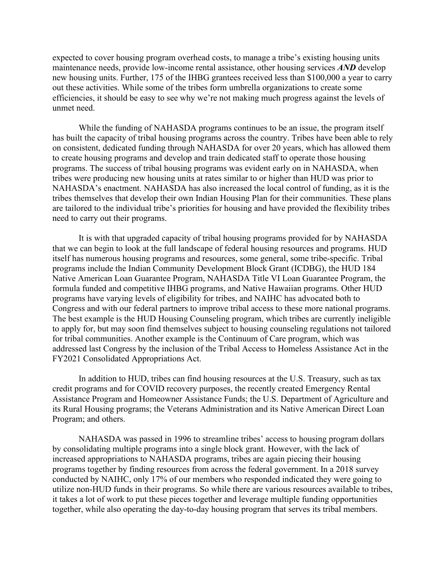expected to cover housing program overhead costs, to manage a tribe's existing housing units maintenance needs, provide low-income rental assistance, other housing services *AND* develop new housing units. Further, 175 of the IHBG grantees received less than \$100,000 a year to carry out these activities. While some of the tribes form umbrella organizations to create some efficiencies, it should be easy to see why we're not making much progress against the levels of unmet need.

While the funding of NAHASDA programs continues to be an issue, the program itself has built the capacity of tribal housing programs across the country. Tribes have been able to rely on consistent, dedicated funding through NAHASDA for over 20 years, which has allowed them to create housing programs and develop and train dedicated staff to operate those housing programs. The success of tribal housing programs was evident early on in NAHASDA, when tribes were producing new housing units at rates similar to or higher than HUD was prior to NAHASDA's enactment. NAHASDA has also increased the local control of funding, as it is the tribes themselves that develop their own Indian Housing Plan for their communities. These plans are tailored to the individual tribe's priorities for housing and have provided the flexibility tribes need to carry out their programs.

It is with that upgraded capacity of tribal housing programs provided for by NAHASDA that we can begin to look at the full landscape of federal housing resources and programs. HUD itself has numerous housing programs and resources, some general, some tribe-specific. Tribal programs include the Indian Community Development Block Grant (ICDBG), the HUD 184 Native American Loan Guarantee Program, NAHASDA Title VI Loan Guarantee Program, the formula funded and competitive IHBG programs, and Native Hawaiian programs. Other HUD programs have varying levels of eligibility for tribes, and NAIHC has advocated both to Congress and with our federal partners to improve tribal access to these more national programs. The best example is the HUD Housing Counseling program, which tribes are currently ineligible to apply for, but may soon find themselves subject to housing counseling regulations not tailored for tribal communities. Another example is the Continuum of Care program, which was addressed last Congress by the inclusion of the Tribal Access to Homeless Assistance Act in the FY2021 Consolidated Appropriations Act.

In addition to HUD, tribes can find housing resources at the U.S. Treasury, such as tax credit programs and for COVID recovery purposes, the recently created Emergency Rental Assistance Program and Homeowner Assistance Funds; the U.S. Department of Agriculture and its Rural Housing programs; the Veterans Administration and its Native American Direct Loan Program; and others.

NAHASDA was passed in 1996 to streamline tribes' access to housing program dollars by consolidating multiple programs into a single block grant. However, with the lack of increased appropriations to NAHASDA programs, tribes are again piecing their housing programs together by finding resources from across the federal government. In a 2018 survey conducted by NAIHC, only 17% of our members who responded indicated they were going to utilize non-HUD funds in their programs. So while there are various resources available to tribes, it takes a lot of work to put these pieces together and leverage multiple funding opportunities together, while also operating the day-to-day housing program that serves its tribal members.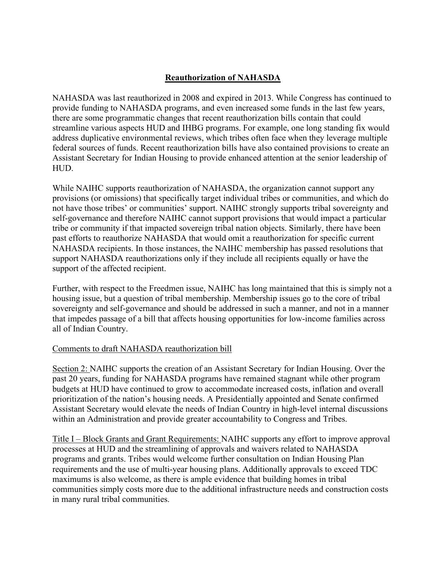# **Reauthorization of NAHASDA**

NAHASDA was last reauthorized in 2008 and expired in 2013. While Congress has continued to provide funding to NAHASDA programs, and even increased some funds in the last few years, there are some programmatic changes that recent reauthorization bills contain that could streamline various aspects HUD and IHBG programs. For example, one long standing fix would address duplicative environmental reviews, which tribes often face when they leverage multiple federal sources of funds. Recent reauthorization bills have also contained provisions to create an Assistant Secretary for Indian Housing to provide enhanced attention at the senior leadership of HUD.

While NAIHC supports reauthorization of NAHASDA, the organization cannot support any provisions (or omissions) that specifically target individual tribes or communities, and which do not have those tribes' or communities' support. NAIHC strongly supports tribal sovereignty and self-governance and therefore NAIHC cannot support provisions that would impact a particular tribe or community if that impacted sovereign tribal nation objects. Similarly, there have been past efforts to reauthorize NAHASDA that would omit a reauthorization for specific current NAHASDA recipients. In those instances, the NAIHC membership has passed resolutions that support NAHASDA reauthorizations only if they include all recipients equally or have the support of the affected recipient.

Further, with respect to the Freedmen issue, NAIHC has long maintained that this is simply not a housing issue, but a question of tribal membership. Membership issues go to the core of tribal sovereignty and self-governance and should be addressed in such a manner, and not in a manner that impedes passage of a bill that affects housing opportunities for low-income families across all of Indian Country.

## Comments to draft NAHASDA reauthorization bill

Section 2: NAIHC supports the creation of an Assistant Secretary for Indian Housing. Over the past 20 years, funding for NAHASDA programs have remained stagnant while other program budgets at HUD have continued to grow to accommodate increased costs, inflation and overall prioritization of the nation's housing needs. A Presidentially appointed and Senate confirmed Assistant Secretary would elevate the needs of Indian Country in high-level internal discussions within an Administration and provide greater accountability to Congress and Tribes.

Title I – Block Grants and Grant Requirements: NAIHC supports any effort to improve approval processes at HUD and the streamlining of approvals and waivers related to NAHASDA programs and grants. Tribes would welcome further consultation on Indian Housing Plan requirements and the use of multi-year housing plans. Additionally approvals to exceed TDC maximums is also welcome, as there is ample evidence that building homes in tribal communities simply costs more due to the additional infrastructure needs and construction costs in many rural tribal communities.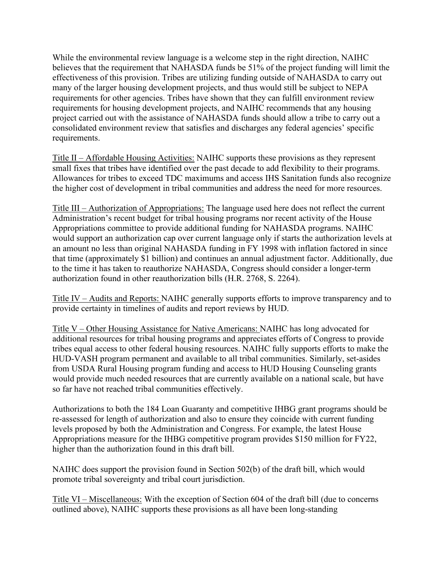While the environmental review language is a welcome step in the right direction, NAIHC believes that the requirement that NAHASDA funds be 51% of the project funding will limit the effectiveness of this provision. Tribes are utilizing funding outside of NAHASDA to carry out many of the larger housing development projects, and thus would still be subject to NEPA requirements for other agencies. Tribes have shown that they can fulfill environment review requirements for housing development projects, and NAIHC recommends that any housing project carried out with the assistance of NAHASDA funds should allow a tribe to carry out a consolidated environment review that satisfies and discharges any federal agencies' specific requirements.

Title II – Affordable Housing Activities: NAIHC supports these provisions as they represent small fixes that tribes have identified over the past decade to add flexibility to their programs. Allowances for tribes to exceed TDC maximums and access IHS Sanitation funds also recognize the higher cost of development in tribal communities and address the need for more resources.

Title III – Authorization of Appropriations: The language used here does not reflect the current Administration's recent budget for tribal housing programs nor recent activity of the House Appropriations committee to provide additional funding for NAHASDA programs. NAIHC would support an authorization cap over current language only if starts the authorization levels at an amount no less than original NAHASDA funding in FY 1998 with inflation factored in since that time (approximately \$1 billion) and continues an annual adjustment factor. Additionally, due to the time it has taken to reauthorize NAHASDA, Congress should consider a longer-term authorization found in other reauthorization bills (H.R. 2768, S. 2264).

Title IV – Audits and Reports: NAIHC generally supports efforts to improve transparency and to provide certainty in timelines of audits and report reviews by HUD.

Title V – Other Housing Assistance for Native Americans: NAIHC has long advocated for additional resources for tribal housing programs and appreciates efforts of Congress to provide tribes equal access to other federal housing resources. NAIHC fully supports efforts to make the HUD-VASH program permanent and available to all tribal communities. Similarly, set-asides from USDA Rural Housing program funding and access to HUD Housing Counseling grants would provide much needed resources that are currently available on a national scale, but have so far have not reached tribal communities effectively.

Authorizations to both the 184 Loan Guaranty and competitive IHBG grant programs should be re-assessed for length of authorization and also to ensure they coincide with current funding levels proposed by both the Administration and Congress. For example, the latest House Appropriations measure for the IHBG competitive program provides \$150 million for FY22, higher than the authorization found in this draft bill.

NAIHC does support the provision found in Section 502(b) of the draft bill, which would promote tribal sovereignty and tribal court jurisdiction.

Title VI – Miscellaneous: With the exception of Section 604 of the draft bill (due to concerns outlined above), NAIHC supports these provisions as all have been long-standing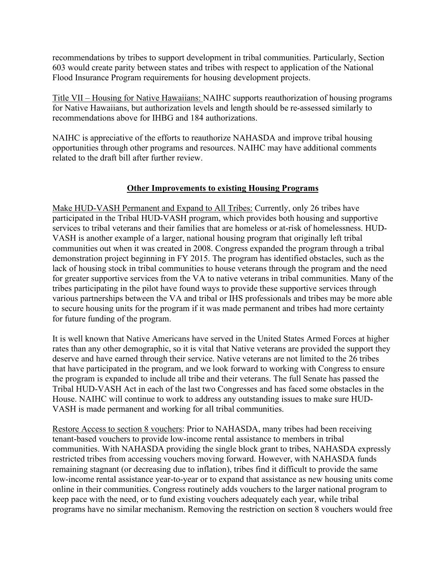recommendations by tribes to support development in tribal communities. Particularly, Section 603 would create parity between states and tribes with respect to application of the National Flood Insurance Program requirements for housing development projects.

Title VII – Housing for Native Hawaiians: NAIHC supports reauthorization of housing programs for Native Hawaiians, but authorization levels and length should be re-assessed similarly to recommendations above for IHBG and 184 authorizations.

NAIHC is appreciative of the efforts to reauthorize NAHASDA and improve tribal housing opportunities through other programs and resources. NAIHC may have additional comments related to the draft bill after further review.

# **Other Improvements to existing Housing Programs**

Make HUD-VASH Permanent and Expand to All Tribes: Currently, only 26 tribes have participated in the Tribal HUD-VASH program, which provides both housing and supportive services to tribal veterans and their families that are homeless or at-risk of homelessness. HUD-VASH is another example of a larger, national housing program that originally left tribal communities out when it was created in 2008. Congress expanded the program through a tribal demonstration project beginning in FY 2015. The program has identified obstacles, such as the lack of housing stock in tribal communities to house veterans through the program and the need for greater supportive services from the VA to native veterans in tribal communities. Many of the tribes participating in the pilot have found ways to provide these supportive services through various partnerships between the VA and tribal or IHS professionals and tribes may be more able to secure housing units for the program if it was made permanent and tribes had more certainty for future funding of the program.

It is well known that Native Americans have served in the United States Armed Forces at higher rates than any other demographic, so it is vital that Native veterans are provided the support they deserve and have earned through their service. Native veterans are not limited to the 26 tribes that have participated in the program, and we look forward to working with Congress to ensure the program is expanded to include all tribe and their veterans. The full Senate has passed the Tribal HUD-VASH Act in each of the last two Congresses and has faced some obstacles in the House. NAIHC will continue to work to address any outstanding issues to make sure HUD-VASH is made permanent and working for all tribal communities.

Restore Access to section 8 vouchers: Prior to NAHASDA, many tribes had been receiving tenant-based vouchers to provide low-income rental assistance to members in tribal communities. With NAHASDA providing the single block grant to tribes, NAHASDA expressly restricted tribes from accessing vouchers moving forward. However, with NAHASDA funds remaining stagnant (or decreasing due to inflation), tribes find it difficult to provide the same low-income rental assistance year-to-year or to expand that assistance as new housing units come online in their communities. Congress routinely adds vouchers to the larger national program to keep pace with the need, or to fund existing vouchers adequately each year, while tribal programs have no similar mechanism. Removing the restriction on section 8 vouchers would free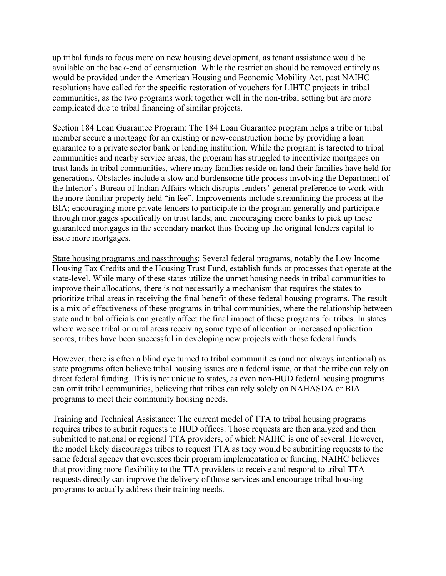up tribal funds to focus more on new housing development, as tenant assistance would be available on the back-end of construction. While the restriction should be removed entirely as would be provided under the American Housing and Economic Mobility Act, past NAIHC resolutions have called for the specific restoration of vouchers for LIHTC projects in tribal communities, as the two programs work together well in the non-tribal setting but are more complicated due to tribal financing of similar projects.

Section 184 Loan Guarantee Program: The 184 Loan Guarantee program helps a tribe or tribal member secure a mortgage for an existing or new-construction home by providing a loan guarantee to a private sector bank or lending institution. While the program is targeted to tribal communities and nearby service areas, the program has struggled to incentivize mortgages on trust lands in tribal communities, where many families reside on land their families have held for generations. Obstacles include a slow and burdensome title process involving the Department of the Interior's Bureau of Indian Affairs which disrupts lenders' general preference to work with the more familiar property held "in fee". Improvements include streamlining the process at the BIA; encouraging more private lenders to participate in the program generally and participate through mortgages specifically on trust lands; and encouraging more banks to pick up these guaranteed mortgages in the secondary market thus freeing up the original lenders capital to issue more mortgages.

State housing programs and passthroughs: Several federal programs, notably the Low Income Housing Tax Credits and the Housing Trust Fund, establish funds or processes that operate at the state-level. While many of these states utilize the unmet housing needs in tribal communities to improve their allocations, there is not necessarily a mechanism that requires the states to prioritize tribal areas in receiving the final benefit of these federal housing programs. The result is a mix of effectiveness of these programs in tribal communities, where the relationship between state and tribal officials can greatly affect the final impact of these programs for tribes. In states where we see tribal or rural areas receiving some type of allocation or increased application scores, tribes have been successful in developing new projects with these federal funds.

However, there is often a blind eye turned to tribal communities (and not always intentional) as state programs often believe tribal housing issues are a federal issue, or that the tribe can rely on direct federal funding. This is not unique to states, as even non-HUD federal housing programs can omit tribal communities, believing that tribes can rely solely on NAHASDA or BIA programs to meet their community housing needs.

Training and Technical Assistance: The current model of TTA to tribal housing programs requires tribes to submit requests to HUD offices. Those requests are then analyzed and then submitted to national or regional TTA providers, of which NAIHC is one of several. However, the model likely discourages tribes to request TTA as they would be submitting requests to the same federal agency that oversees their program implementation or funding. NAIHC believes that providing more flexibility to the TTA providers to receive and respond to tribal TTA requests directly can improve the delivery of those services and encourage tribal housing programs to actually address their training needs.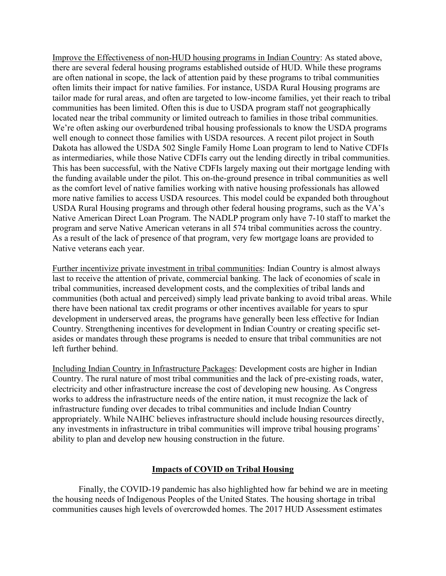Improve the Effectiveness of non-HUD housing programs in Indian Country: As stated above, there are several federal housing programs established outside of HUD. While these programs are often national in scope, the lack of attention paid by these programs to tribal communities often limits their impact for native families. For instance, USDA Rural Housing programs are tailor made for rural areas, and often are targeted to low-income families, yet their reach to tribal communities has been limited. Often this is due to USDA program staff not geographically located near the tribal community or limited outreach to families in those tribal communities. We're often asking our overburdened tribal housing professionals to know the USDA programs well enough to connect those families with USDA resources. A recent pilot project in South Dakota has allowed the USDA 502 Single Family Home Loan program to lend to Native CDFIs as intermediaries, while those Native CDFIs carry out the lending directly in tribal communities. This has been successful, with the Native CDFIs largely maxing out their mortgage lending with the funding available under the pilot. This on-the-ground presence in tribal communities as well as the comfort level of native families working with native housing professionals has allowed more native families to access USDA resources. This model could be expanded both throughout USDA Rural Housing programs and through other federal housing programs, such as the VA's Native American Direct Loan Program. The NADLP program only have 7-10 staff to market the program and serve Native American veterans in all 574 tribal communities across the country. As a result of the lack of presence of that program, very few mortgage loans are provided to Native veterans each year.

Further incentivize private investment in tribal communities: Indian Country is almost always last to receive the attention of private, commercial banking. The lack of economies of scale in tribal communities, increased development costs, and the complexities of tribal lands and communities (both actual and perceived) simply lead private banking to avoid tribal areas. While there have been national tax credit programs or other incentives available for years to spur development in underserved areas, the programs have generally been less effective for Indian Country. Strengthening incentives for development in Indian Country or creating specific setasides or mandates through these programs is needed to ensure that tribal communities are not left further behind.

Including Indian Country in Infrastructure Packages: Development costs are higher in Indian Country. The rural nature of most tribal communities and the lack of pre-existing roads, water, electricity and other infrastructure increase the cost of developing new housing. As Congress works to address the infrastructure needs of the entire nation, it must recognize the lack of infrastructure funding over decades to tribal communities and include Indian Country appropriately. While NAIHC believes infrastructure should include housing resources directly, any investments in infrastructure in tribal communities will improve tribal housing programs' ability to plan and develop new housing construction in the future.

### **Impacts of COVID on Tribal Housing**

Finally, the COVID-19 pandemic has also highlighted how far behind we are in meeting the housing needs of Indigenous Peoples of the United States. The housing shortage in tribal communities causes high levels of overcrowded homes. The 2017 HUD Assessment estimates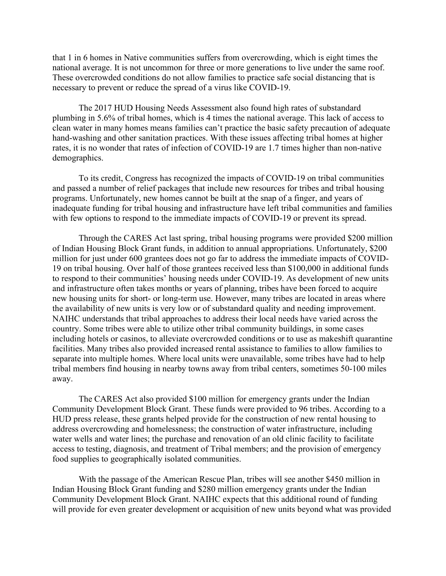that 1 in 6 homes in Native communities suffers from overcrowding, which is eight times the national average. It is not uncommon for three or more generations to live under the same roof. These overcrowded conditions do not allow families to practice safe social distancing that is necessary to prevent or reduce the spread of a virus like COVID-19.

The 2017 HUD Housing Needs Assessment also found high rates of substandard plumbing in 5.6% of tribal homes, which is 4 times the national average. This lack of access to clean water in many homes means families can't practice the basic safety precaution of adequate hand-washing and other sanitation practices. With these issues affecting tribal homes at higher rates, it is no wonder that rates of infection of COVID-19 are 1.7 times higher than non-native demographics.

To its credit, Congress has recognized the impacts of COVID-19 on tribal communities and passed a number of relief packages that include new resources for tribes and tribal housing programs. Unfortunately, new homes cannot be built at the snap of a finger, and years of inadequate funding for tribal housing and infrastructure have left tribal communities and families with few options to respond to the immediate impacts of COVID-19 or prevent its spread.

Through the CARES Act last spring, tribal housing programs were provided \$200 million of Indian Housing Block Grant funds, in addition to annual appropriations. Unfortunately, \$200 million for just under 600 grantees does not go far to address the immediate impacts of COVID-19 on tribal housing. Over half of those grantees received less than \$100,000 in additional funds to respond to their communities' housing needs under COVID-19. As development of new units and infrastructure often takes months or years of planning, tribes have been forced to acquire new housing units for short- or long-term use. However, many tribes are located in areas where the availability of new units is very low or of substandard quality and needing improvement. NAIHC understands that tribal approaches to address their local needs have varied across the country. Some tribes were able to utilize other tribal community buildings, in some cases including hotels or casinos, to alleviate overcrowded conditions or to use as makeshift quarantine facilities. Many tribes also provided increased rental assistance to families to allow families to separate into multiple homes. Where local units were unavailable, some tribes have had to help tribal members find housing in nearby towns away from tribal centers, sometimes 50-100 miles away.

The CARES Act also provided \$100 million for emergency grants under the Indian Community Development Block Grant. These funds were provided to 96 tribes. According to a HUD press release, these grants helped provide for the construction of new rental housing to address overcrowding and homelessness; the construction of water infrastructure, including water wells and water lines; the purchase and renovation of an old clinic facility to facilitate access to testing, diagnosis, and treatment of Tribal members; and the provision of emergency food supplies to geographically isolated communities.

With the passage of the American Rescue Plan, tribes will see another \$450 million in Indian Housing Block Grant funding and \$280 million emergency grants under the Indian Community Development Block Grant. NAIHC expects that this additional round of funding will provide for even greater development or acquisition of new units beyond what was provided